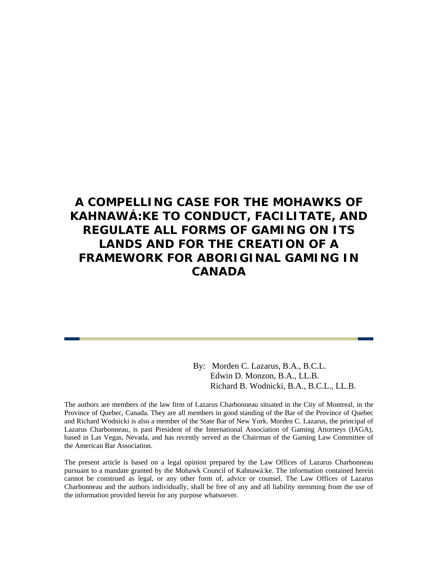# **A COMPELLING CASE FOR THE MOHAWKS OF KAHNAWÁ:KE TO CONDUCT, FACILITATE, AND REGULATE ALL FORMS OF GAMING ON ITS LANDS AND FOR THE CREATION OF A FRAMEWORK FOR ABORIGINAL GAMING IN CANADA**

By: Morden C. Lazarus, B.A., B.C.L. Edwin D. Monzon, B.A., LL.B. Richard B. Wodnicki, B.A., B.C.L., LL.B.

The authors are members of the law firm of Lazarus Charbonneau situated in the City of Montreal, in the Province of Quebec, Canada. They are all members in good standing of the Bar of the Province of Quebec and Richard Wodnicki is also a member of the State Bar of New York. Morden C. Lazarus, the principal of Lazarus Charbonneau, is past President of the International Association of Gaming Attorneys (IAGA), based in Las Vegas, Nevada, and has recently served as the Chairman of the Gaming Law Committee of the American Bar Association.

The present article is based on a legal opinion prepared by the Law Offices of Lazarus Charbonneau pursuant to a mandate granted by the Mohawk Council of Kahnawá:ke. The information contained herein cannot be construed as legal, or any other form of, advice or counsel. The Law Offices of Lazarus Charbonneau and the authors individually, shall be free of any and all liability stemming from the use of the information provided herein for any purpose whatsoever.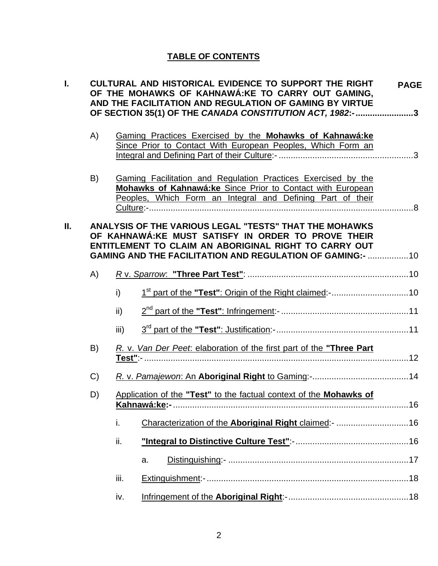## **TABLE OF CONTENTS**

| I.  |    |                                                                                                                                                                                                                                     | CULTURAL AND HISTORICAL EVIDENCE TO SUPPORT THE RIGHT<br><b>PAGE</b><br>OF THE MOHAWKS OF KAHNAWÁ:KE TO CARRY OUT GAMING,<br>AND THE FACILITATION AND REGULATION OF GAMING BY VIRTUE              |  |  |  |
|-----|----|-------------------------------------------------------------------------------------------------------------------------------------------------------------------------------------------------------------------------------------|---------------------------------------------------------------------------------------------------------------------------------------------------------------------------------------------------|--|--|--|
|     |    |                                                                                                                                                                                                                                     | OF SECTION 35(1) OF THE CANADA CONSTITUTION ACT, 1982:- 3                                                                                                                                         |  |  |  |
|     | A) |                                                                                                                                                                                                                                     | Gaming Practices Exercised by the Mohawks of Kahnawá:ke<br>Since Prior to Contact With European Peoples, Which Form an                                                                            |  |  |  |
|     | B) |                                                                                                                                                                                                                                     | <b>Gaming Facilitation and Regulation Practices Exercised by the</b><br>Mohawks of Kahnawá: ke Since Prior to Contact with European<br>Peoples, Which Form an Integral and Defining Part of their |  |  |  |
| II. |    | ANALYSIS OF THE VARIOUS LEGAL "TESTS" THAT THE MOHAWKS<br>OF KAHNAWÁ:KE MUST SATISFY IN ORDER TO PROVE THEIR<br>ENTITLEMENT TO CLAIM AN ABORIGINAL RIGHT TO CARRY OUT<br>GAMING AND THE FACILITATION AND REGULATION OF GAMING:-  10 |                                                                                                                                                                                                   |  |  |  |
|     | A) |                                                                                                                                                                                                                                     |                                                                                                                                                                                                   |  |  |  |
|     |    | i)                                                                                                                                                                                                                                  |                                                                                                                                                                                                   |  |  |  |
|     |    | ii)                                                                                                                                                                                                                                 |                                                                                                                                                                                                   |  |  |  |
|     |    | iii)                                                                                                                                                                                                                                |                                                                                                                                                                                                   |  |  |  |
|     | B) |                                                                                                                                                                                                                                     | R. v. Van Der Peet. elaboration of the first part of the "Three Part                                                                                                                              |  |  |  |
|     | C) |                                                                                                                                                                                                                                     |                                                                                                                                                                                                   |  |  |  |
|     | D) | Application of the "Test" to the factual context of the Mohawks of                                                                                                                                                                  |                                                                                                                                                                                                   |  |  |  |
|     |    | i.                                                                                                                                                                                                                                  |                                                                                                                                                                                                   |  |  |  |
|     |    | ii.                                                                                                                                                                                                                                 |                                                                                                                                                                                                   |  |  |  |
|     |    |                                                                                                                                                                                                                                     | a.                                                                                                                                                                                                |  |  |  |
|     |    | iii.                                                                                                                                                                                                                                |                                                                                                                                                                                                   |  |  |  |
|     |    | iv.                                                                                                                                                                                                                                 |                                                                                                                                                                                                   |  |  |  |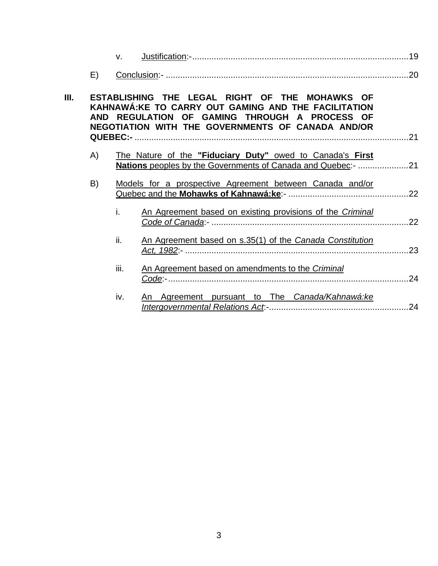|      |                                                                 | V.                                                                                                                                                                                                          |                                                           |  |  |  |
|------|-----------------------------------------------------------------|-------------------------------------------------------------------------------------------------------------------------------------------------------------------------------------------------------------|-----------------------------------------------------------|--|--|--|
|      | E)                                                              |                                                                                                                                                                                                             |                                                           |  |  |  |
| III. |                                                                 | ESTABLISHING THE LEGAL RIGHT OF THE MOHAWKS OF<br>KAHNAWÁ:KE TO CARRY OUT GAMING AND THE FACILITATION<br>AND REGULATION OF GAMING THROUGH A PROCESS OF<br>NEGOTIATION WITH THE GOVERNMENTS OF CANADA AND/OR |                                                           |  |  |  |
|      | A)<br>The Nature of the "Fiduciary Duty" owed to Canada's First |                                                                                                                                                                                                             |                                                           |  |  |  |
|      | B)<br>Models for a prospective Agreement between Canada and/or  |                                                                                                                                                                                                             |                                                           |  |  |  |
|      |                                                                 | i.                                                                                                                                                                                                          | An Agreement based on existing provisions of the Criminal |  |  |  |
|      |                                                                 | ii.                                                                                                                                                                                                         | An Agreement based on s.35(1) of the Canada Constitution  |  |  |  |
|      |                                                                 | iii.                                                                                                                                                                                                        | An Agreement based on amendments to the Criminal          |  |  |  |
|      |                                                                 | iv.                                                                                                                                                                                                         | An Agreement pursuant to The Canada/Kahnawá:ke            |  |  |  |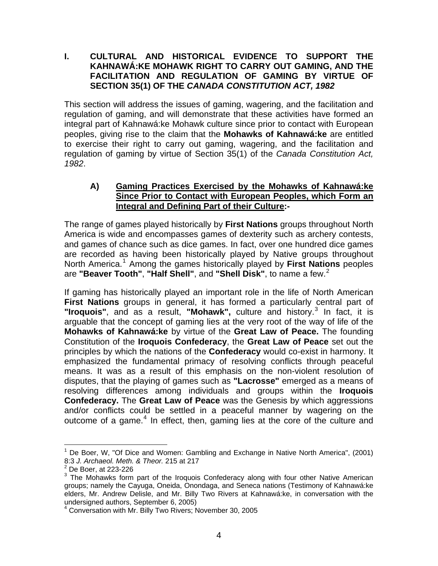#### **I. CULTURAL AND HISTORICAL EVIDENCE TO SUPPORT THE KAHNAWÁ:KE MOHAWK RIGHT TO CARRY OUT GAMING, AND THE FACILITATION AND REGULATION OF GAMING BY VIRTUE OF SECTION 35(1) OF THE** *CANADA CONSTITUTION ACT, 1982*

This section will address the issues of gaming, wagering, and the facilitation and regulation of gaming, and will demonstrate that these activities have formed an integral part of Kahnawá:ke Mohawk culture since prior to contact with European peoples, giving rise to the claim that the **Mohawks of Kahnawá:ke** are entitled to exercise their right to carry out gaming, wagering, and the facilitation and regulation of gaming by virtue of Section 35(1) of the *Canada Constitution Act, 1982*.

#### **A) Gaming Practices Exercised by the Mohawks of Kahnawá:ke Since Prior to Contact with European Peoples, which Form an Integral and Defining Part of their Culture:-**

The range of games played historically by **First Nations** groups throughout North America is wide and encompasses games of dexterity such as archery contests, and games of chance such as dice games. In fact, over one hundred dice games are recorded as having been historically played by Native groups throughout North America.<sup>[1](#page-3-0)</sup> Among the games historically played by First Nations peoples are "Beaver Tooth", "Half Shell", and "Shell Disk", to name a few.<sup>[2](#page-3-1)</sup>

If gaming has historically played an important role in the life of North American **First Nations** groups in general, it has formed a particularly central part of "Iroquois", and as a result, "Mohawk", culture and history.<sup>[3](#page-3-2)</sup> In fact, it is arguable that the concept of gaming lies at the very root of the way of life of the **Mohawks of Kahnawá:ke** by virtue of the **Great Law of Peace.** The founding Constitution of the **Iroquois Confederacy**, the **Great Law of Peace** set out the principles by which the nations of the **Confederacy** would co-exist in harmony. It emphasized the fundamental primacy of resolving conflicts through peaceful means. It was as a result of this emphasis on the non-violent resolution of disputes, that the playing of games such as **"Lacrosse"** emerged as a means of resolving differences among individuals and groups within the **Iroquois Confederacy.** The **Great Law of Peace** was the Genesis by which aggressions and/or conflicts could be settled in a peaceful manner by wagering on the outcome of a game. $4$  In effect, then, gaming lies at the core of the culture and

<span id="page-3-0"></span><sup>1</sup> De Boer, W, "Of Dice and Women: Gambling and Exchange in Native North America", (2001) 8:3 *J. Archaeol. Meth. & Theor.* 215 at 217

<span id="page-3-1"></span><sup>&</sup>lt;sup>2</sup> De Boer, at 223-226

<span id="page-3-2"></span> $3$  The Mohawks form part of the Iroquois Confederacy along with four other Native American groups; namely the Cayuga, Oneida, Onondaga, and Seneca nations (Testimony of Kahnawá:ke elders, Mr. Andrew Delisle, and Mr. Billy Two Rivers at Kahnawá:ke, in conversation with the undersigned authors, September 6, 2005)

<span id="page-3-3"></span><sup>4</sup> Conversation with Mr. Billy Two Rivers; November 30, 2005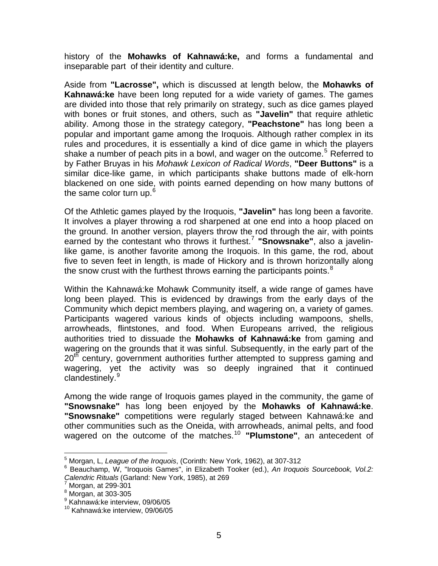history of the **Mohawks of Kahnawá:ke,** and forms a fundamental and inseparable part of their identity and culture.

Aside from **"Lacrosse",** which is discussed at length below, the **Mohawks of Kahnawá:ke** have been long reputed for a wide variety of games. The games are divided into those that rely primarily on strategy, such as dice games played with bones or fruit stones, and others, such as **"Javelin"** that require athletic ability. Among those in the strategy category, **"Peachstone"** has long been a popular and important game among the Iroquois. Although rather complex in its rules and procedures, it is essentially a kind of dice game in which the players shake a number of peach pits in a bowl, and wager on the outcome.<sup>[5](#page-4-0)</sup> Referred to by Father Bruyas in his *Mohawk Lexicon of Radical Words*, **"Deer Buttons"** is a similar dice-like game, in which participants shake buttons made of elk-horn blackened on one side, with points earned depending on how many buttons of the same color turn up.<sup>[6](#page-4-1)</sup>

Of the Athletic games played by the Iroquois, **"Javelin"** has long been a favorite. It involves a player throwing a rod sharpened at one end into a hoop placed on the ground. In another version, players throw the rod through the air, with points earned by the contestant who throws it furthest.[7](#page-4-2) **"Snowsnake"**, also a javelinlike game, is another favorite among the Iroquois. In this game, the rod, about five to seven feet in length, is made of Hickory and is thrown horizontally along the snow crust with the furthest throws earning the participants points. $8<sup>8</sup>$  $8<sup>8</sup>$ 

Within the Kahnawá:ke Mohawk Community itself, a wide range of games have long been played. This is evidenced by drawings from the early days of the Community which depict members playing, and wagering on, a variety of games. Participants wagered various kinds of objects including wampoons, shells, arrowheads, flintstones, and food. When Europeans arrived, the religious authorities tried to dissuade the **Mohawks of Kahnawá:ke** from gaming and wagering on the grounds that it was sinful. Subsequently, in the early part of the  $20<sup>th</sup>$  century, government authorities further attempted to suppress gaming and wagering, yet the activity was so deeply ingrained that it continued clandestinely.<sup>[9](#page-4-4)</sup>

Among the wide range of Iroquois games played in the community, the game of **"Snowsnake"** has long been enjoyed by the **Mohawks of Kahnawá:ke**. **"Snowsnake"** competitions were regularly staged between Kahnawá:ke and other communities such as the Oneida, with arrowheads, animal pelts, and food wagered on the outcome of the matches.[10](#page-4-5) **"Plumstone"**, an antecedent of

<sup>&</sup>lt;u>-</u><br><sup>5</sup> Morgan, L, *League of the Iroquois*, (Corinth: New York, 1962), at 307-312<br><sup>6</sup> Beaushams, W. "Iraqueis Cames", in Flizebeth Tecker (ad.), An Iraque

<span id="page-4-1"></span><span id="page-4-0"></span><sup>&</sup>lt;sup>6</sup> Beauchamp, W, "Iroquois Games", in Elizabeth Tooker (ed.), An Iroquois Sourcebook, Vol.2: *Calendric Rituals* (Garland: New York, 1985), at 269 7

<span id="page-4-2"></span>Morgan, at 299-301

<span id="page-4-3"></span><sup>8</sup> Morgan, at 303-305

<sup>9</sup> Kahnawá:ke interview, 09/06/05

<span id="page-4-5"></span><span id="page-4-4"></span><sup>10</sup> Kahnawá:ke interview, 09/06/05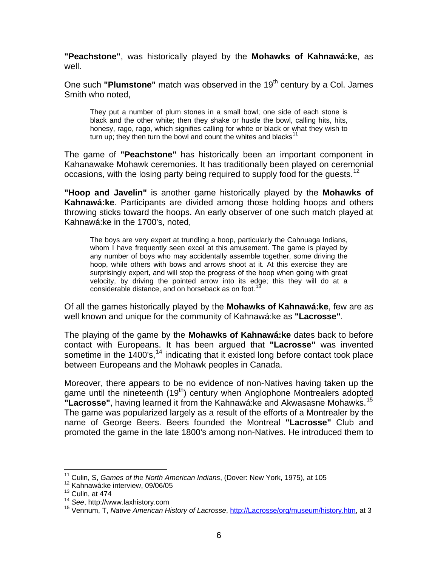**"Peachstone"**, was historically played by the **Mohawks of Kahnawá:ke**, as well.

One such **"Plumstone"** match was observed in the 19<sup>th</sup> century by a Col. James Smith who noted,

They put a number of plum stones in a small bowl; one side of each stone is black and the other white; then they shake or hustle the bowl, calling hits, hits, honesy, rago, rago, which signifies calling for white or black or what they wish to turn up; they then turn the bowl and count the whites and blacks<sup>1</sup>

The game of **"Peachstone"** has historically been an important component in Kahanawake Mohawk ceremonies. It has traditionally been played on ceremonial occasions, with the losing party being required to supply food for the quests.<sup>[12](#page-5-1)</sup>

**"Hoop and Javelin"** is another game historically played by the **Mohawks of Kahnawá:ke**. Participants are divided among those holding hoops and others throwing sticks toward the hoops. An early observer of one such match played at Kahnawá:ke in the 1700's, noted,

The boys are very expert at trundling a hoop, particularly the Cahnuaga Indians, whom I have frequently seen excel at this amusement. The game is played by any number of boys who may accidentally assemble together, some driving the hoop, while others with bows and arrows shoot at it. At this exercise they are surprisingly expert, and will stop the progress of the hoop when going with great velocity, by driving the pointed arrow into its edge; this they will do at a considerable distance, and on horseback as on foot.<sup>1</sup>

Of all the games historically played by the **Mohawks of Kahnawá:ke**, few are as well known and unique for the community of Kahnawá:ke as **"Lacrosse"**.

The playing of the game by the **Mohawks of Kahnawá:ke** dates back to before contact with Europeans. It has been argued that **"Lacrosse"** was invented sometime in the  $1400's$  $1400's$ ,  $^{14}$  indicating that it existed long before contact took place between Europeans and the Mohawk peoples in Canada.

Moreover, there appears to be no evidence of non-Natives having taken up the game until the nineteenth (19<sup>th</sup>) century when Anglophone Montrealers adopted **"Lacrosse"**, having learned it from the Kahnawá:ke and Akwasasne Mohawks.[15](#page-5-4) The game was popularized largely as a result of the efforts of a Montrealer by the name of George Beers. Beers founded the Montreal **"Lacrosse"** Club and promoted the game in the late 1800's among non-Natives. He introduced them to

1

<sup>&</sup>lt;sup>11</sup> Culin, S, *Games of the North American Indians*, (Dover: New York, 1975), at 105<br><sup>12</sup> Kahnawá:ke interview, 09/06/05

<span id="page-5-1"></span><span id="page-5-0"></span><sup>&</sup>lt;sup>12</sup> Kahnawá:ke interview, 09/06/05<br><sup>13</sup> Culin, at 474<br><sup>14</sup> See, http://www.laxhistory.com

<span id="page-5-2"></span>

<span id="page-5-4"></span><span id="page-5-3"></span><sup>&</sup>lt;sup>15</sup> Vennum, T, Native American History of Lacrosse, [http://Lacrosse/org/museum/history.htm](http://lacrosse/org/museum/history.htm), at 3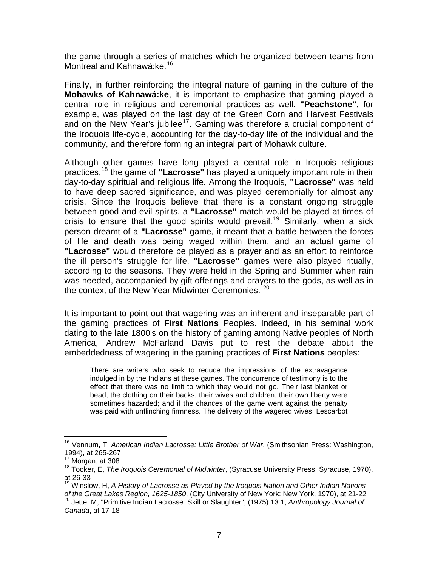the game through a series of matches which he organized between teams from Montreal and Kahnawá:ke.<sup>[16](#page-6-0)</sup>

Finally, in further reinforcing the integral nature of gaming in the culture of the **Mohawks of Kahnawá:ke**, it is important to emphasize that gaming played a central role in religious and ceremonial practices as well. **"Peachstone"**, for example, was played on the last day of the Green Corn and Harvest Festivals and on the New Year's jubilee<sup>[17](#page-6-1)</sup>. Gaming was therefore a crucial component of the Iroquois life-cycle, accounting for the day-to-day life of the individual and the community, and therefore forming an integral part of Mohawk culture.

Although other games have long played a central role in Iroquois religious practices,[18](#page-6-2) the game of **"Lacrosse"** has played a uniquely important role in their day-to-day spiritual and religious life. Among the Iroquois, **"Lacrosse"** was held to have deep sacred significance, and was played ceremonially for almost any crisis. Since the Iroquois believe that there is a constant ongoing struggle between good and evil spirits, a **"Lacrosse"** match would be played at times of crisis to ensure that the good spirits would prevail.<sup>[19](#page-6-3)</sup> Similarly, when a sick person dreamt of a **"Lacrosse"** game, it meant that a battle between the forces of life and death was being waged within them, and an actual game of **"Lacrosse"** would therefore be played as a prayer and as an effort to reinforce the ill person's struggle for life. **"Lacrosse"** games were also played ritually, according to the seasons. They were held in the Spring and Summer when rain was needed, accompanied by gift offerings and prayers to the gods, as well as in the context of the New Year Midwinter Ceremonies. <sup>[20](#page-6-4)</sup>

It is important to point out that wagering was an inherent and inseparable part of the gaming practices of **First Nations** Peoples. Indeed, in his seminal work dating to the late 1800's on the history of gaming among Native peoples of North America, Andrew McFarland Davis put to rest the debate about the embeddedness of wagering in the gaming practices of **First Nations** peoples:

There are writers who seek to reduce the impressions of the extravagance indulged in by the Indians at these games. The concurrence of testimony is to the effect that there was no limit to which they would not go. Their last blanket or bead, the clothing on their backs, their wives and children, their own liberty were sometimes hazarded; and if the chances of the game went against the penalty was paid with unflinching firmness. The delivery of the wagered wives, Lescarbot

<span id="page-6-0"></span> $\overline{a}$ 16 Vennum, T, *American Indian Lacrosse: Little Brother of War*, (Smithsonian Press: Washington, 1994), at 265-267<br><sup>17</sup> Morgan, at 308

<span id="page-6-2"></span><span id="page-6-1"></span><sup>&</sup>lt;sup>18</sup> Tooker, E, *The Iroquois Ceremonial of Midwinter*, (Syracuse University Press: Syracuse, 1970), at 26-33

<sup>19</sup> Winslow, H, *A History of Lacrosse as Played by the Iroquois Nation and Other Indian Nations* 

<span id="page-6-4"></span><span id="page-6-3"></span>*of the Great Lakes Region, 1625-1850*, (City University of New York: New York, 1970), at 21-22<br><sup>20</sup> Jette, M, "Primitive Indian Lacrosse: Skill or Slaughter", (1975) 13:1, *Anthropology Journal of Canada*, at 17-18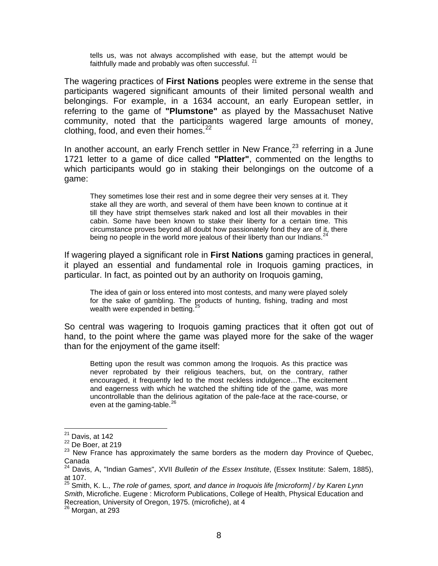tells us, was not always accomplished with ease, but the attempt would be faithfully made and probably was often successful.<sup>[21](#page-7-0)</sup>

The wagering practices of **First Nations** peoples were extreme in the sense that participants wagered significant amounts of their limited personal wealth and belongings. For example, in a 1634 account, an early European settler, in referring to the game of **"Plumstone"** as played by the Massachuset Native community, noted that the participants wagered large amounts of money, clothing, food, and even their homes. $^{22}$  $^{22}$  $^{22}$ 

In another account, an early French settler in New France,  $2^3$  referring in a June 1721 letter to a game of dice called **"Platter"**, commented on the lengths to which participants would go in staking their belongings on the outcome of a game:

They sometimes lose their rest and in some degree their very senses at it. They stake all they are worth, and several of them have been known to continue at it till they have stript themselves stark naked and lost all their movables in their cabin. Some have been known to stake their liberty for a certain time. This circumstance proves beyond all doubt how passionately fond they are of it, there being no people in the world more jealous of their liberty than our Indians.<sup>[24](#page-7-3)</sup>

If wagering played a significant role in **First Nations** gaming practices in general, it played an essential and fundamental role in Iroquois gaming practices, in particular. In fact, as pointed out by an authority on Iroquois gaming,

The idea of gain or loss entered into most contests, and many were played solely for the sake of gambling. The products of hunting, fishing, trading and most wealth were expended in betting.<sup>2</sup>

So central was wagering to Iroquois gaming practices that it often got out of hand, to the point where the game was played more for the sake of the wager than for the enjoyment of the game itself:

Betting upon the result was common among the Iroquois. As this practice was never reprobated by their religious teachers, but, on the contrary, rather encouraged, it frequently led to the most reckless indulgence…The excitement and eagerness with which he watched the shifting tide of the game, was more uncontrollable than the delirious agitation of the pale-face at the race-course, or even at the gaming-table. $^{26}$  $^{26}$  $^{26}$ 

 $^{21}$  Davis, at 142

<span id="page-7-1"></span><span id="page-7-0"></span> $22$  De Boer, at 219

<span id="page-7-2"></span><sup>&</sup>lt;sup>23</sup> New France has approximately the same borders as the modern day Province of Quebec, Canada

<span id="page-7-3"></span><sup>24</sup> Davis, A, "Indian Games", XVII *Bulletin of the Essex Institute*, (Essex Institute: Salem, 1885), at 107.

<span id="page-7-4"></span><sup>25</sup> Smith, K. L., *The role of games, sport, and dance in Iroquois life [microform] / by Karen Lynn Smith*, Microfiche. Eugene : Microform Publications, College of Health, Physical Education and Recreation, University of Oregon, 1975. (microfiche), at 4

<span id="page-7-5"></span><sup>&</sup>lt;sup>26</sup> Morgan, at 293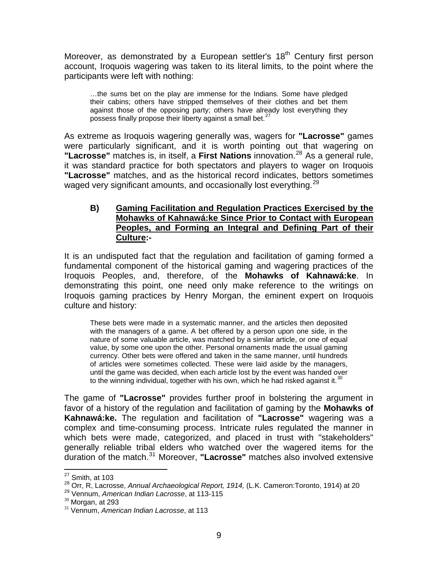Moreover, as demonstrated by a European settler's  $18<sup>th</sup>$  Century first person account, Iroquois wagering was taken to its literal limits, to the point where the participants were left with nothing:

…the sums bet on the play are immense for the Indians. Some have pledged their cabins; others have stripped themselves of their clothes and bet them against those of the opposing party; others have already lost everything they possess finally propose their liberty against a small bet.<sup>[27](#page-8-0)</sup>

As extreme as Iroquois wagering generally was, wagers for **"Lacrosse"** games were particularly significant, and it is worth pointing out that wagering on **"Lacrosse"** matches is, in itself, a **First Nations** innovation.<sup>[28](#page-8-1)</sup> As a general rule, it was standard practice for both spectators and players to wager on Iroquois **"Lacrosse"** matches, and as the historical record indicates, bettors sometimes waged very significant amounts, and occasionally lost everything.  $29$ 

#### **B) Gaming Facilitation and Regulation Practices Exercised by the Mohawks of Kahnawá:ke Since Prior to Contact with European Peoples, and Forming an Integral and Defining Part of their Culture:-**

It is an undisputed fact that the regulation and facilitation of gaming formed a fundamental component of the historical gaming and wagering practices of the Iroquois Peoples, and, therefore, of the **Mohawks of Kahnawá:ke**. In demonstrating this point, one need only make reference to the writings on Iroquois gaming practices by Henry Morgan, the eminent expert on Iroquois culture and history:

These bets were made in a systematic manner, and the articles then deposited with the managers of a game. A bet offered by a person upon one side, in the nature of some valuable article, was matched by a similar article, or one of equal value, by some one upon the other. Personal ornaments made the usual gaming currency. Other bets were offered and taken in the same manner, until hundreds of articles were sometimes collected. These were laid aside by the managers, until the game was decided, when each article lost by the event was handed over to the winning individual, together with his own, which he had risked against it.<sup>[30](#page-8-3)</sup>

The game of **"Lacrosse"** provides further proof in bolstering the argument in favor of a history of the regulation and facilitation of gaming by the **Mohawks of Kahnawá:ke.** The regulation and facilitation of **"Lacrosse"** wagering was a complex and time-consuming process. Intricate rules regulated the manner in which bets were made, categorized, and placed in trust with "stakeholders" generally reliable tribal elders who watched over the wagered items for the duration of the match.[31](#page-8-4) Moreover, **"Lacrosse"** matches also involved extensive

<span id="page-8-2"></span>

 $27$  Smith, at 103

<span id="page-8-1"></span><span id="page-8-0"></span><sup>28</sup> Orr, R, Lacrosse, *Annual Archaeological Report, 1914,* (L.K. Cameron:Toronto, 1914) at 20<br><sup>29</sup> Vennum, *American Indian Lacrosse*, at 113-115<br><sup>30</sup> Morgan, at 293<br><sup>31</sup> Vennum, *American Indian Lacrosse*, at 113

<span id="page-8-3"></span>

<span id="page-8-4"></span>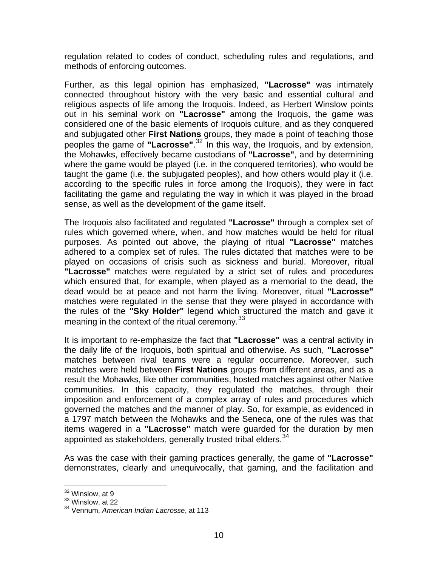regulation related to codes of conduct, scheduling rules and regulations, and methods of enforcing outcomes.

Further, as this legal opinion has emphasized, **"Lacrosse"** was intimately connected throughout history with the very basic and essential cultural and religious aspects of life among the Iroquois. Indeed, as Herbert Winslow points out in his seminal work on **"Lacrosse"** among the Iroquois, the game was considered one of the basic elements of Iroquois culture, and as they conquered and subjugated other **First Nations** groups, they made a point of teaching those peoples the game of **"Lacrosse"**. [32](#page-9-0) In this way, the Iroquois, and by extension, the Mohawks, effectively became custodians of **"Lacrosse"**, and by determining where the game would be played (i.e. in the conquered territories), who would be taught the game (i.e. the subjugated peoples), and how others would play it (i.e. according to the specific rules in force among the Iroquois), they were in fact facilitating the game and regulating the way in which it was played in the broad sense, as well as the development of the game itself.

The Iroquois also facilitated and regulated **"Lacrosse"** through a complex set of rules which governed where, when, and how matches would be held for ritual purposes. As pointed out above, the playing of ritual **"Lacrosse"** matches adhered to a complex set of rules. The rules dictated that matches were to be played on occasions of crisis such as sickness and burial. Moreover, ritual **"Lacrosse"** matches were regulated by a strict set of rules and procedures which ensured that, for example, when played as a memorial to the dead, the dead would be at peace and not harm the living. Moreover, ritual **"Lacrosse"** matches were regulated in the sense that they were played in accordance with the rules of the **"Sky Holder"** legend which structured the match and gave it meaning in the context of the ritual ceremony. $33$ 

It is important to re-emphasize the fact that **"Lacrosse"** was a central activity in the daily life of the Iroquois, both spiritual and otherwise. As such, **"Lacrosse"** matches between rival teams were a regular occurrence. Moreover, such matches were held between **First Nations** groups from different areas, and as a result the Mohawks, like other communities, hosted matches against other Native communities. In this capacity, they regulated the matches, through their imposition and enforcement of a complex array of rules and procedures which governed the matches and the manner of play. So, for example, as evidenced in a 1797 match between the Mohawks and the Seneca, one of the rules was that items wagered in a **"Lacrosse"** match were guarded for the duration by men appointed as stakeholders, generally trusted tribal elders.  $34$ 

As was the case with their gaming practices generally, the game of **"Lacrosse"** demonstrates, clearly and unequivocally, that gaming, and the facilitation and

<span id="page-9-0"></span><sup>32</sup> Winslow, at 9

<span id="page-9-1"></span><sup>&</sup>lt;sup>33</sup> Winslow, at 22

<span id="page-9-2"></span><sup>34</sup> Vennum, *American Indian Lacrosse*, at 113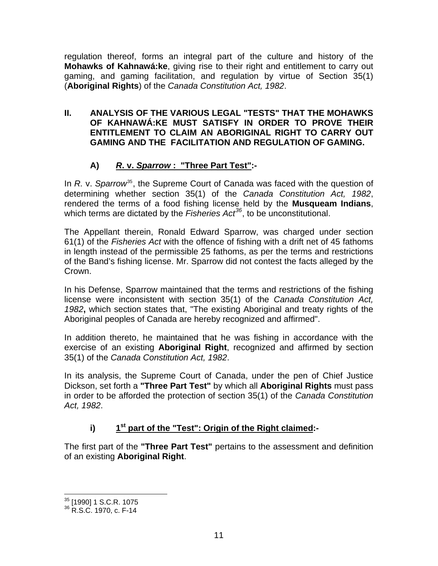regulation thereof, forms an integral part of the culture and history of the **Mohawks of Kahnawá:ke**, giving rise to their right and entitlement to carry out gaming, and gaming facilitation, and regulation by virtue of Section 35(1) (**Aboriginal Rights**) of the *Canada Constitution Act, 1982*.

#### **II. ANALYSIS OF THE VARIOUS LEGAL "TESTS" THAT THE MOHAWKS OF KAHNAWÁ:KE MUST SATISFY IN ORDER TO PROVE THEIR ENTITLEMENT TO CLAIM AN ABORIGINAL RIGHT TO CARRY OUT GAMING AND THE FACILITATION AND REGULATION OF GAMING.**

## **A)** *R***. v.** *Sparrow* **: "Three Part Test":-**

In *R.* v. *Sparrow*[35](#page-10-0), the Supreme Court of Canada was faced with the question of determining whether section 35(1) of the *Canada Constitution Act, 1982*, rendered the terms of a food fishing license held by the **Musqueam Indians**, which terms are dictated by the *Fisheries Act[36](#page-10-1)*, to be unconstitutional.

The Appellant therein, Ronald Edward Sparrow, was charged under section 61(1) of the *Fisheries Act* with the offence of fishing with a drift net of 45 fathoms in length instead of the permissible 25 fathoms, as per the terms and restrictions of the Band's fishing license. Mr. Sparrow did not contest the facts alleged by the Crown.

In his Defense, Sparrow maintained that the terms and restrictions of the fishing license were inconsistent with section 35(1) of the *Canada Constitution Act, 1982***,** which section states that, "The existing Aboriginal and treaty rights of the Aboriginal peoples of Canada are hereby recognized and affirmed".

In addition thereto, he maintained that he was fishing in accordance with the exercise of an existing **Aboriginal Right**, recognized and affirmed by section 35(1) of the *Canada Constitution Act, 1982*.

In its analysis, the Supreme Court of Canada, under the pen of Chief Justice Dickson, set forth a **"Three Part Test"** by which all **Aboriginal Rights** must pass in order to be afforded the protection of section 35(1) of the *Canada Constitution Act, 1982*.

## **i)** 1<sup>st</sup> part of the "Test": Origin of the Right claimed:-

The first part of the **"Three Part Test"** pertains to the assessment and definition of an existing **Aboriginal Right**.

<span id="page-10-0"></span><sup>1</sup> <sup>35</sup> [1990] 1 S.C.R. 1075<br><sup>36</sup> R.S.C. 1970, c. F-14

<span id="page-10-1"></span>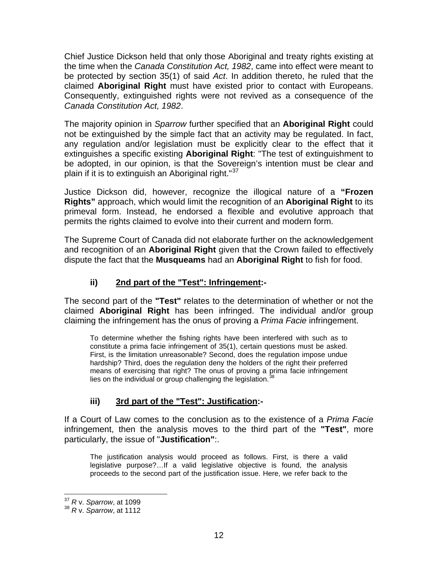Chief Justice Dickson held that only those Aboriginal and treaty rights existing at the time when the *Canada Constitution Act, 1982*, came into effect were meant to be protected by section 35(1) of said *Act*. In addition thereto, he ruled that the claimed **Aboriginal Right** must have existed prior to contact with Europeans. Consequently, extinguished rights were not revived as a consequence of the *Canada Constitution Act, 1982*.

The majority opinion in *Sparrow* further specified that an **Aboriginal Right** could not be extinguished by the simple fact that an activity may be regulated. In fact, any regulation and/or legislation must be explicitly clear to the effect that it extinguishes a specific existing **Aboriginal Right**: "The test of extinguishment to be adopted, in our opinion, is that the Sovereign's intention must be clear and plain if it is to extinguish an Aboriginal right."<sup>[37](#page-11-0)</sup>

Justice Dickson did, however, recognize the illogical nature of a **"Frozen Rights"** approach, which would limit the recognition of an **Aboriginal Right** to its primeval form. Instead, he endorsed a flexible and evolutive approach that permits the rights claimed to evolve into their current and modern form.

The Supreme Court of Canada did not elaborate further on the acknowledgement and recognition of an **Aboriginal Right** given that the Crown failed to effectively dispute the fact that the **Musqueams** had an **Aboriginal Right** to fish for food.

### **ii) 2nd part of the "Test": Infringement:-**

The second part of the **"Test"** relates to the determination of whether or not the claimed **Aboriginal Right** has been infringed. The individual and/or group claiming the infringement has the onus of proving a *Prima Facie* infringement.

To determine whether the fishing rights have been interfered with such as to constitute a prima facie infringement of 35(1), certain questions must be asked. First, is the limitation unreasonable? Second, does the regulation impose undue hardship? Third, does the regulation deny the holders of the right their preferred means of exercising that right? The onus of proving a prima facie infringement lies on the individual or group challenging the legislation.  $38$ 

## **iii) 3rd part of the "Test": Justification:-**

If a Court of Law comes to the conclusion as to the existence of a *Prima Facie* infringement, then the analysis moves to the third part of the **"Test"**, more particularly, the issue of "**Justification"**:.

The justification analysis would proceed as follows. First, is there a valid legislative purpose?…If a valid legislative objective is found, the analysis proceeds to the second part of the justification issue. Here, we refer back to the

<sup>37</sup> *R* v. *Sparrow*, at 1099

<span id="page-11-1"></span><span id="page-11-0"></span><sup>38</sup> *R* v. *Sparrow*, at 1112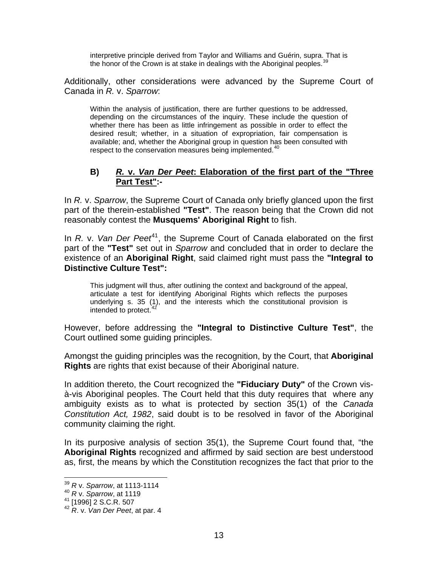interpretive principle derived from Taylor and Williams and Guérin, supra. That is the honor of the Crown is at stake in dealings with the Aboriginal peoples.<sup>[39](#page-12-0)</sup>

Additionally, other considerations were advanced by the Supreme Court of Canada in *R.* v. *Sparrow*:

Within the analysis of justification, there are further questions to be addressed, depending on the circumstances of the inquiry. These include the question of whether there has been as little infringement as possible in order to effect the desired result; whether, in a situation of expropriation, fair compensation is available; and, whether the Aboriginal group in question has been consulted with respect to the conservation measures being implemented.<sup>[40](#page-12-1)</sup>

#### **B)** *R.* **v.** *Van Der Peet***: Elaboration of the first part of the "Three Part Test":-**

In *R.* v. *Sparrow*, the Supreme Court of Canada only briefly glanced upon the first part of the therein-established **"Test"**. The reason being that the Crown did not reasonably contest the **Musquems' Aboriginal Right** to fish.

In *R.* v. *Van Der Peet*<sup>[41](#page-12-2)</sup>, the Supreme Court of Canada elaborated on the first part of the **"Test"** set out in *Sparrow* and concluded that in order to declare the existence of an **Aboriginal Right**, said claimed right must pass the **"Integral to Distinctive Culture Test":**

This judgment will thus, after outlining the context and background of the appeal, articulate a test for identifying Aboriginal Rights which reflects the purposes underlying s. 35 (1), and the interests which the constitutional provision is intended to protect.<sup>4</sup>

However, before addressing the **"Integral to Distinctive Culture Test"**, the Court outlined some guiding principles.

Amongst the guiding principles was the recognition, by the Court, that **Aboriginal Rights** are rights that exist because of their Aboriginal nature.

In addition thereto, the Court recognized the **"Fiduciary Duty"** of the Crown visà-vis Aboriginal peoples. The Court held that this duty requires that where any ambiguity exists as to what is protected by section 35(1) of the *Canada Constitution Act, 1982*, said doubt is to be resolved in favor of the Aboriginal community claiming the right.

In its purposive analysis of section 35(1), the Supreme Court found that, "the **Aboriginal Rights** recognized and affirmed by said section are best understood as, first, the means by which the Constitution recognizes the fact that prior to the

<sup>39</sup> *R* v. *Sparrow*, at 1113-1114

<span id="page-12-1"></span><span id="page-12-0"></span><sup>40</sup> *R* v. *Sparrow*, at 1119

<span id="page-12-3"></span><span id="page-12-2"></span><sup>&</sup>lt;sup>42</sup> R. v. Van Der Peet, at par. 4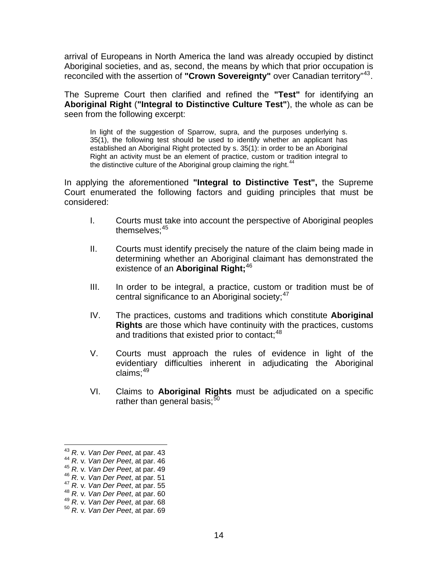arrival of Europeans in North America the land was already occupied by distinct Aboriginal societies, and as, second, the means by which that prior occupation is reconciled with the assertion of **"Crown Sovereignty"** over Canadian territory"[43](#page-13-0).

The Supreme Court then clarified and refined the **"Test"** for identifying an **Aboriginal Right** (**"Integral to Distinctive Culture Test"**), the whole as can be seen from the following excerpt:

In light of the suggestion of Sparrow, supra, and the purposes underlying s. 35(1), the following test should be used to identify whether an applicant has established an Aboriginal Right protected by s. 35(1): in order to be an Aboriginal Right an activity must be an element of practice, custom or tradition integral to the distinctive culture of the Aboriginal group claiming the right.<sup>[44](#page-13-1)</sup>

In applying the aforementioned **"Integral to Distinctive Test",** the Supreme Court enumerated the following factors and guiding principles that must be considered:

- I. Courts must take into account the perspective of Aboriginal peoples themselves: [45](#page-13-2)
- II. Courts must identify precisely the nature of the claim being made in determining whether an Aboriginal claimant has demonstrated the existence of an **Aboriginal Right;**[46](#page-13-3)
- III. In order to be integral, a practice, custom or tradition must be of central significance to an Aboriginal society;<sup>[47](#page-13-4)</sup>
- IV. The practices, customs and traditions which constitute **Aboriginal Rights** are those which have continuity with the practices, customs and traditions that existed prior to contact;<sup>[48](#page-13-5)</sup>
- V. Courts must approach the rules of evidence in light of the evidentiary difficulties inherent in adjudicating the Aboriginal claims: [49](#page-13-6)
- VI. Claims to **Aboriginal Rights** must be adjudicated on a specific rather than general basis; $50$

<span id="page-13-0"></span><sup>&</sup>lt;sup>43</sup> R. v. Van Der Peet, at par. 43

<span id="page-13-3"></span>

<span id="page-13-4"></span>

<span id="page-13-2"></span><span id="page-13-1"></span><sup>&</sup>lt;sup>44</sup> R. v. Van Der Peet, at par. 46<br>
<sup>45</sup> R. v. Van Der Peet, at par. 49<br>
<sup>46</sup> R. v. Van Der Peet, at par. 51<br>
<sup>47</sup> R. v. Van Der Peet, at par. 55<br>
<sup>48</sup> R. v. Van Der Peet, at par. 60<br>
<sup>49</sup> R. v. Van Der Peet, at par. 68<br>

<span id="page-13-6"></span><span id="page-13-5"></span>

<span id="page-13-7"></span>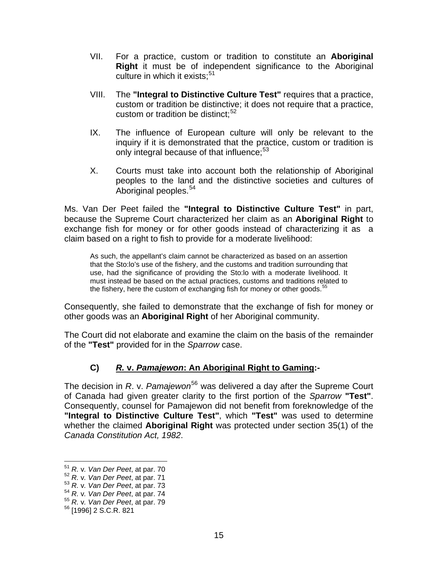- VII. For a practice, custom or tradition to constitute an **Aboriginal Right** it must be of independent significance to the Aboriginal culture in which it exists:<sup>[51](#page-14-0)</sup>
- VIII. The **"Integral to Distinctive Culture Test"** requires that a practice, custom or tradition be distinctive; it does not require that a practice, custom or tradition be distinct:<sup>[52](#page-14-1)</sup>
- IX. The influence of European culture will only be relevant to the inquiry if it is demonstrated that the practice, custom or tradition is only integral because of that influence:<sup>[53](#page-14-2)</sup>
- X. Courts must take into account both the relationship of Aboriginal peoples to the land and the distinctive societies and cultures of Aboriginal peoples.<sup>[54](#page-14-3)</sup>

Ms. Van Der Peet failed the **"Integral to Distinctive Culture Test"** in part, because the Supreme Court characterized her claim as an **Aboriginal Right** to exchange fish for money or for other goods instead of characterizing it as a claim based on a right to fish to provide for a moderate livelihood:

As such, the appellant's claim cannot be characterized as based on an assertion that the Sto:lo's use of the fishery, and the customs and tradition surrounding that use, had the significance of providing the Sto:lo with a moderate livelihood. It must instead be based on the actual practices, customs and traditions related to the fishery, here the custom of exchanging fish for money or other goods.<sup>[55](#page-14-4)</sup>

Consequently, she failed to demonstrate that the exchange of fish for money or other goods was an **Aboriginal Right** of her Aboriginal community.

The Court did not elaborate and examine the claim on the basis of the remainder of the **"Test"** provided for in the *Sparrow* case.

## **C)** *R.* **v.** *Pamajewon***: An Aboriginal Right to Gaming:-**

The decision in *R*. v. *Pamajewon*<sup>[56](#page-14-5)</sup> was delivered a day after the Supreme Court of Canada had given greater clarity to the first portion of the *Sparrow* **"Test"**. Consequently, counsel for Pamajewon did not benefit from foreknowledge of the **"Integral to Distinctive Culture Test"**, which **"Test"** was used to determine whether the claimed **Aboriginal Right** was protected under section 35(1) of the *Canada Constitution Act, 1982*.

<span id="page-14-0"></span> $51$  R. v. Van Der Peet, at par. 70

<span id="page-14-2"></span><span id="page-14-1"></span><sup>51</sup> *R.* v*. Van Der Peet*, at par. 70 52 *R.* v*. Van Der Peet*, at par. 71 53 *R.* v*. Van Der Peet*, at par. 73 54 *R.* v*. Van Der Peet*, at par. 74

<span id="page-14-5"></span><span id="page-14-4"></span><span id="page-14-3"></span><sup>55</sup> *R.* v*. Van Der Peet*, at par. 79 56 [1996] 2 S.C.R. 821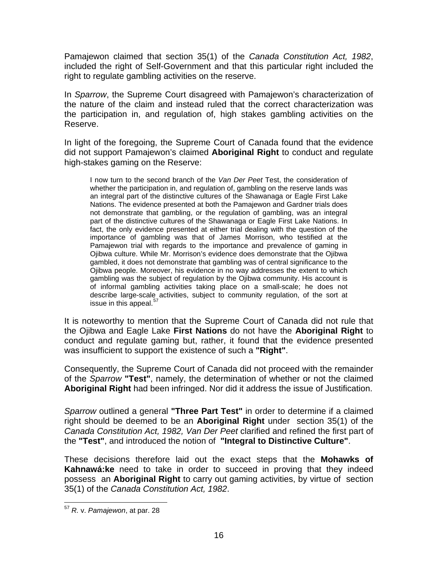Pamajewon claimed that section 35(1) of the *Canada Constitution Act, 1982*, included the right of Self-Government and that this particular right included the right to regulate gambling activities on the reserve.

In *Sparrow*, the Supreme Court disagreed with Pamajewon's characterization of the nature of the claim and instead ruled that the correct characterization was the participation in, and regulation of, high stakes gambling activities on the Reserve.

In light of the foregoing, the Supreme Court of Canada found that the evidence did not support Pamajewon's claimed **Aboriginal Right** to conduct and regulate high-stakes gaming on the Reserve:

I now turn to the second branch of the *Van Der Peet* Test, the consideration of whether the participation in, and regulation of, gambling on the reserve lands was an integral part of the distinctive cultures of the Shawanaga or Eagle First Lake Nations. The evidence presented at both the Pamajewon and Gardner trials does not demonstrate that gambling, or the regulation of gambling, was an integral part of the distinctive cultures of the Shawanaga or Eagle First Lake Nations. In fact, the only evidence presented at either trial dealing with the question of the importance of gambling was that of James Morrison, who testified at the Pamajewon trial with regards to the importance and prevalence of gaming in Ojibwa culture. While Mr. Morrison's evidence does demonstrate that the Ojibwa gambled, it does not demonstrate that gambling was of central significance to the Ojibwa people. Moreover, his evidence in no way addresses the extent to which gambling was the subject of regulation by the Ojibwa community. His account is of informal gambling activities taking place on a small-scale; he does not describe large-scale activities, subject to community regulation, of the sort at issue in this appeal.<sup>[57](#page-15-0)</sup>

It is noteworthy to mention that the Supreme Court of Canada did not rule that the Ojibwa and Eagle Lake **First Nations** do not have the **Aboriginal Right** to conduct and regulate gaming but, rather, it found that the evidence presented was insufficient to support the existence of such a **"Right"**.

Consequently, the Supreme Court of Canada did not proceed with the remainder of the *Sparrow* **"Test"**, namely, the determination of whether or not the claimed **Aboriginal Right** had been infringed. Nor did it address the issue of Justification.

*Sparrow* outlined a general **"Three Part Test"** in order to determine if a claimed right should be deemed to be an **Aboriginal Right** under section 35(1) of the *Canada Constitution Act, 1982, Van Der Peet* clarified and refined the first part of the **"Test"**, and introduced the notion of **"Integral to Distinctive Culture"**.

These decisions therefore laid out the exact steps that the **Mohawks of Kahnawá:ke** need to take in order to succeed in proving that they indeed possess an **Aboriginal Right** to carry out gaming activities, by virtue of section 35(1) of the *Canada Constitution Act, 1982*.

<span id="page-15-0"></span> $\overline{a}$ <sup>57</sup> *R.* v. *Pamajewon*, at par. 28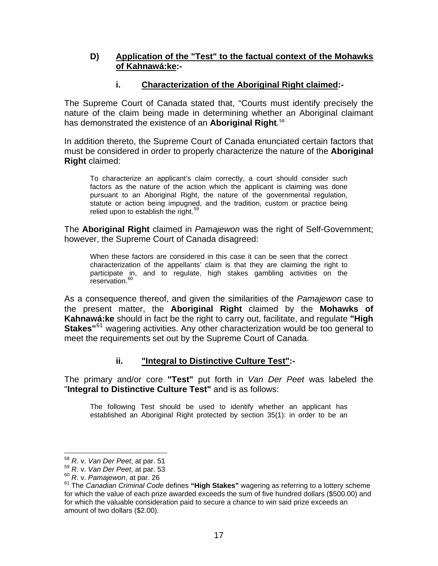#### **D) Application of the "Test" to the factual context of the Mohawks of Kahnawá:ke:-**

#### **i. Characterization of the Aboriginal Right claimed:-**

The Supreme Court of Canada stated that, "Courts must identify precisely the nature of the claim being made in determining whether an Aboriginal claimant has demonstrated the existence of an **Aboriginal Right***.* [58](#page-16-0)

In addition thereto, the Supreme Court of Canada enunciated certain factors that must be considered in order to properly characterize the nature of the **Aboriginal Right** claimed:

To characterize an applicant's claim correctly, a court should consider such factors as the nature of the action which the applicant is claiming was done pursuant to an Aboriginal Right, the nature of the governmental regulation, statute or action being impugned, and the tradition, custom or practice being relied upon to establish the right.<sup>[59](#page-16-1)</sup>

The **Aboriginal Right** claimed in *Pamajewon* was the right of Self-Government; however, the Supreme Court of Canada disagreed:

When these factors are considered in this case it can be seen that the correct characterization of the appellants' claim is that they are claiming the right to participate in, and to regulate, high stakes gambling activities on the reservation<sup>[60](#page-16-2)</sup>

As a consequence thereof, and given the similarities of the *Pamajewon* case to the present matter, the **Aboriginal Right** claimed by the **Mohawks of Kahnawá:ke** should in fact be the right to carry out, facilitate, and regulate **"High Stakes"**[61](#page-16-3) wagering activities. Any other characterization would be too general to meet the requirements set out by the Supreme Court of Canada.

#### **ii. "Integral to Distinctive Culture Test":-**

The primary and/or core **"Test"** put forth in *Van Der Peet* was labeled the "**Integral to Distinctive Culture Test"** and is as follows:

The following Test should be used to identify whether an applicant has established an Aboriginal Right protected by section 35(1): in order to be an

<span id="page-16-0"></span><sup>&</sup>lt;sup>58</sup> R. v. Van Der Peet, at par. 51

<span id="page-16-3"></span>

<span id="page-16-2"></span><span id="page-16-1"></span><sup>&</sup>lt;sup>59</sup> *R.* v. *Van Der Peet*, at par. 53<br><sup>60</sup> *R.* v. *Pamajewon*, at par. 26<br><sup>61</sup> The *Canadian Criminal Code* defines "**High Stakes**" wagering as referring to a lottery scheme for which the value of each prize awarded exceeds the sum of five hundred dollars (\$500.00) and for which the valuable consideration paid to secure a chance to win said prize exceeds an amount of two dollars (\$2.00).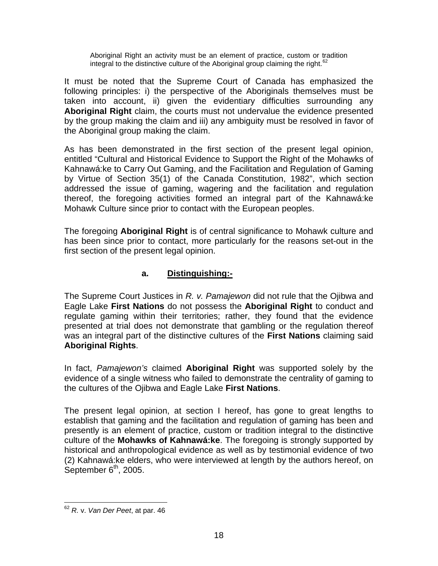Aboriginal Right an activity must be an element of practice, custom or tradition integral to the distinctive culture of the Aboriginal group claiming the right. $62$ 

It must be noted that the Supreme Court of Canada has emphasized the following principles: i) the perspective of the Aboriginals themselves must be taken into account, ii) given the evidentiary difficulties surrounding any **Aboriginal Right** claim, the courts must not undervalue the evidence presented by the group making the claim and iii) any ambiguity must be resolved in favor of the Aboriginal group making the claim.

As has been demonstrated in the first section of the present legal opinion, entitled "Cultural and Historical Evidence to Support the Right of the Mohawks of Kahnawá:ke to Carry Out Gaming, and the Facilitation and Regulation of Gaming by Virtue of Section 35(1) of the Canada Constitution, 1982", which section addressed the issue of gaming, wagering and the facilitation and regulation thereof, the foregoing activities formed an integral part of the Kahnawá:ke Mohawk Culture since prior to contact with the European peoples.

The foregoing **Aboriginal Right** is of central significance to Mohawk culture and has been since prior to contact, more particularly for the reasons set-out in the first section of the present legal opinion.

#### **a. Distinguishing:-**

The Supreme Court Justices in *R. v. Pamajewon* did not rule that the Ojibwa and Eagle Lake **First Nations** do not possess the **Aboriginal Right** to conduct and regulate gaming within their territories; rather, they found that the evidence presented at trial does not demonstrate that gambling or the regulation thereof was an integral part of the distinctive cultures of the **First Nations** claiming said **Aboriginal Rights**.

In fact, *Pamajewon's* claimed **Aboriginal Right** was supported solely by the evidence of a single witness who failed to demonstrate the centrality of gaming to the cultures of the Ojibwa and Eagle Lake **First Nations**.

The present legal opinion, at section I hereof, has gone to great lengths to establish that gaming and the facilitation and regulation of gaming has been and presently is an element of practice, custom or tradition integral to the distinctive culture of the **Mohawks of Kahnawá:ke**. The foregoing is strongly supported by historical and anthropological evidence as well as by testimonial evidence of two (2) Kahnawá:ke elders, who were interviewed at length by the authors hereof, on September  $6<sup>th</sup>$ , 2005.

<span id="page-17-0"></span><sup>62</sup> *R.* v. *Van Der Peet*, at par. 46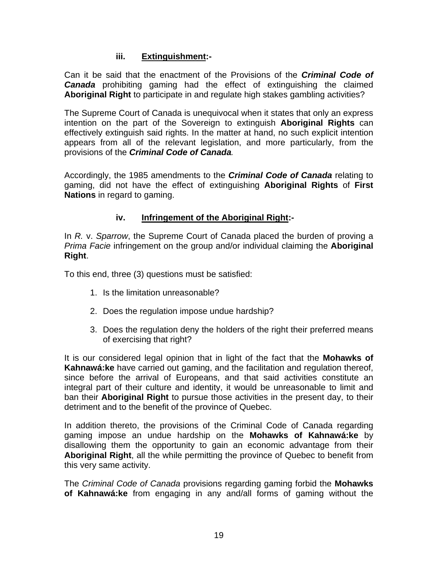#### **iii. Extinguishment:-**

Can it be said that the enactment of the Provisions of the *Criminal Code of Canada* prohibiting gaming had the effect of extinguishing the claimed **Aboriginal Right** to participate in and regulate high stakes gambling activities?

The Supreme Court of Canada is unequivocal when it states that only an express intention on the part of the Sovereign to extinguish **Aboriginal Rights** can effectively extinguish said rights. In the matter at hand, no such explicit intention appears from all of the relevant legislation, and more particularly, from the provisions of the *Criminal Code of Canada.*

Accordingly, the 1985 amendments to the *Criminal Code of Canada* relating to gaming, did not have the effect of extinguishing **Aboriginal Rights** of **First Nations** in regard to gaming.

#### **iv. Infringement of the Aboriginal Right:-**

In *R.* v. *Sparrow*, the Supreme Court of Canada placed the burden of proving a *Prima Facie* infringement on the group and/or individual claiming the **Aboriginal Right**.

To this end, three (3) questions must be satisfied:

- 1. Is the limitation unreasonable?
- 2. Does the regulation impose undue hardship?
- 3. Does the regulation deny the holders of the right their preferred means of exercising that right?

It is our considered legal opinion that in light of the fact that the **Mohawks of Kahnawá:ke** have carried out gaming, and the facilitation and regulation thereof, since before the arrival of Europeans, and that said activities constitute an integral part of their culture and identity, it would be unreasonable to limit and ban their **Aboriginal Right** to pursue those activities in the present day, to their detriment and to the benefit of the province of Quebec.

In addition thereto, the provisions of the Criminal Code of Canada regarding gaming impose an undue hardship on the **Mohawks of Kahnawá:ke** by disallowing them the opportunity to gain an economic advantage from their **Aboriginal Right**, all the while permitting the province of Quebec to benefit from this very same activity.

The *Criminal Code of Canada* provisions regarding gaming forbid the **Mohawks of Kahnawá:ke** from engaging in any and/all forms of gaming without the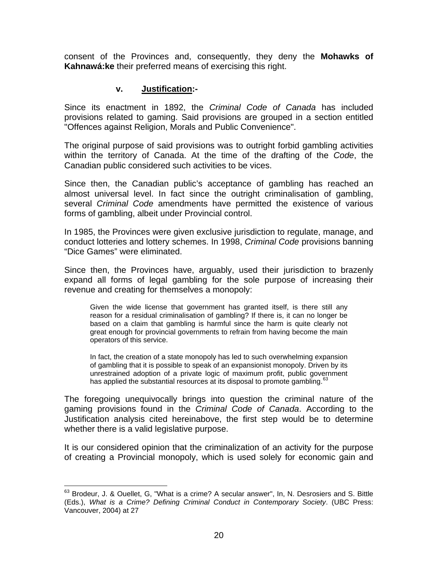consent of the Provinces and, consequently, they deny the **Mohawks of Kahnawá:ke** their preferred means of exercising this right.

#### **v. Justification:-**

Since its enactment in 1892, the *Criminal Code of Canada* has included provisions related to gaming. Said provisions are grouped in a section entitled "Offences against Religion, Morals and Public Convenience".

The original purpose of said provisions was to outright forbid gambling activities within the territory of Canada. At the time of the drafting of the *Code*, the Canadian public considered such activities to be vices.

Since then, the Canadian public's acceptance of gambling has reached an almost universal level. In fact since the outright criminalisation of gambling, several *Criminal Code* amendments have permitted the existence of various forms of gambling, albeit under Provincial control.

In 1985, the Provinces were given exclusive jurisdiction to regulate, manage, and conduct lotteries and lottery schemes. In 1998, *Criminal Code* provisions banning "Dice Games" were eliminated.

Since then, the Provinces have, arguably, used their jurisdiction to brazenly expand all forms of legal gambling for the sole purpose of increasing their revenue and creating for themselves a monopoly:

Given the wide license that government has granted itself, is there still any reason for a residual criminalisation of gambling? If there is, it can no longer be based on a claim that gambling is harmful since the harm is quite clearly not great enough for provincial governments to refrain from having become the main operators of this service.

In fact, the creation of a state monopoly has led to such overwhelming expansion of gambling that it is possible to speak of an expansionist monopoly. Driven by its unrestrained adoption of a private logic of maximum profit, public government has applied the substantial resources at its disposal to promote gambling.<sup>[63](#page-19-0)</sup>

The foregoing unequivocally brings into question the criminal nature of the gaming provisions found in the *Criminal Code of Canada*. According to the Justification analysis cited hereinabove, the first step would be to determine whether there is a valid legislative purpose.

It is our considered opinion that the criminalization of an activity for the purpose of creating a Provincial monopoly, which is used solely for economic gain and

<span id="page-19-0"></span> $\overline{a}$ <sup>63</sup> Brodeur, J. & Ouellet, G, "What is a crime? A secular answer", In, N. Desrosiers and S. Bittle (Eds.), *What is a Crime? Defining Criminal Conduct in Contemporary Society*. (UBC Press: Vancouver, 2004) at 27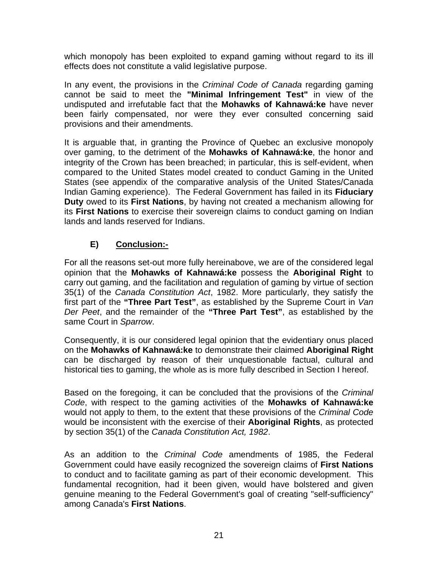which monopoly has been exploited to expand gaming without regard to its ill effects does not constitute a valid legislative purpose.

In any event, the provisions in the *Criminal Code of Canada* regarding gaming cannot be said to meet the **"Minimal Infringement Test"** in view of the undisputed and irrefutable fact that the **Mohawks of Kahnawá:ke** have never been fairly compensated, nor were they ever consulted concerning said provisions and their amendments.

It is arguable that, in granting the Province of Quebec an exclusive monopoly over gaming, to the detriment of the **Mohawks of Kahnawá:ke**, the honor and integrity of the Crown has been breached; in particular, this is self-evident, when compared to the United States model created to conduct Gaming in the United States (see appendix of the comparative analysis of the United States/Canada Indian Gaming experience). The Federal Government has failed in its **Fiduciary Duty** owed to its **First Nations**, by having not created a mechanism allowing for its **First Nations** to exercise their sovereign claims to conduct gaming on Indian lands and lands reserved for Indians.

## **E) Conclusion:-**

For all the reasons set-out more fully hereinabove, we are of the considered legal opinion that the **Mohawks of Kahnawá:ke** possess the **Aboriginal Right** to carry out gaming, and the facilitation and regulation of gaming by virtue of section 35(1) of the *Canada Constitution Act*, 1982. More particularly, they satisfy the first part of the **"Three Part Test"**, as established by the Supreme Court in *Van Der Peet*, and the remainder of the **"Three Part Test"**, as established by the same Court in *Sparrow*.

Consequently, it is our considered legal opinion that the evidentiary onus placed on the **Mohawks of Kahnawá:ke** to demonstrate their claimed **Aboriginal Right** can be discharged by reason of their unquestionable factual, cultural and historical ties to gaming, the whole as is more fully described in Section I hereof.

Based on the foregoing, it can be concluded that the provisions of the *Criminal Code*, with respect to the gaming activities of the **Mohawks of Kahnawá:ke** would not apply to them, to the extent that these provisions of the *Criminal Code* would be inconsistent with the exercise of their **Aboriginal Rights**, as protected by section 35(1) of the *Canada Constitution Act, 1982*.

As an addition to the *Criminal Code* amendments of 1985, the Federal Government could have easily recognized the sovereign claims of **First Nations**  to conduct and to facilitate gaming as part of their economic development. This fundamental recognition, had it been given, would have bolstered and given genuine meaning to the Federal Government's goal of creating "self-sufficiency" among Canada's **First Nations**.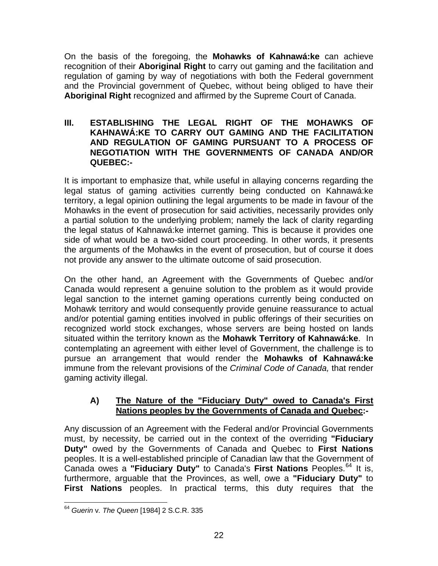On the basis of the foregoing, the **Mohawks of Kahnawá:ke** can achieve recognition of their **Aboriginal Right** to carry out gaming and the facilitation and regulation of gaming by way of negotiations with both the Federal government and the Provincial government of Quebec, without being obliged to have their **Aboriginal Right** recognized and affirmed by the Supreme Court of Canada.

#### **III. ESTABLISHING THE LEGAL RIGHT OF THE MOHAWKS OF KAHNAWÁ:KE TO CARRY OUT GAMING AND THE FACILITATION AND REGULATION OF GAMING PURSUANT TO A PROCESS OF NEGOTIATION WITH THE GOVERNMENTS OF CANADA AND/OR QUEBEC:-**

It is important to emphasize that, while useful in allaying concerns regarding the legal status of gaming activities currently being conducted on Kahnawá:ke territory, a legal opinion outlining the legal arguments to be made in favour of the Mohawks in the event of prosecution for said activities, necessarily provides only a partial solution to the underlying problem; namely the lack of clarity regarding the legal status of Kahnawá:ke internet gaming. This is because it provides one side of what would be a two-sided court proceeding. In other words, it presents the arguments of the Mohawks in the event of prosecution, but of course it does not provide any answer to the ultimate outcome of said prosecution.

On the other hand, an Agreement with the Governments of Quebec and/or Canada would represent a genuine solution to the problem as it would provide legal sanction to the internet gaming operations currently being conducted on Mohawk territory and would consequently provide genuine reassurance to actual and/or potential gaming entities involved in public offerings of their securities on recognized world stock exchanges, whose servers are being hosted on lands situated within the territory known as the **Mohawk Territory of Kahnawá:ke**. In contemplating an agreement with either level of Government, the challenge is to pursue an arrangement that would render the **Mohawks of Kahnawá:ke** immune from the relevant provisions of the *Criminal Code of Canada,* that render gaming activity illegal.

#### **A) The Nature of the "Fiduciary Duty" owed to Canada's First Nations peoples by the Governments of Canada and Quebec:-**

Any discussion of an Agreement with the Federal and/or Provincial Governments must, by necessity, be carried out in the context of the overriding **"Fiduciary Duty"** owed by the Governments of Canada and Quebec to **First Nations** peoples. It is a well-established principle of Canadian law that the Government of Canada owes a **"Fiduciary Duty"** to Canada's **First Nations** Peoples.[64](#page-21-0) It is, furthermore, arguable that the Provinces, as well, owe a **"Fiduciary Duty"** to **First Nations** peoples. In practical terms, this duty requires that the

<span id="page-21-0"></span><sup>&</sup>lt;u>.</u> <sup>64</sup> *Guerin* v*. The Queen* [1984] 2 S.C.R. 335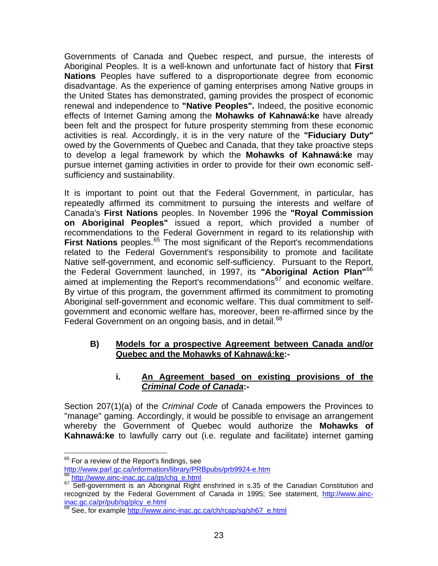Governments of Canada and Quebec respect, and pursue, the interests of Aboriginal Peoples. It is a well-known and unfortunate fact of history that **First Nations** Peoples have suffered to a disproportionate degree from economic disadvantage. As the experience of gaming enterprises among Native groups in the United States has demonstrated, gaming provides the prospect of economic renewal and independence to **"Native Peoples".** Indeed, the positive economic effects of Internet Gaming among the **Mohawks of Kahnawá:ke** have already been felt and the prospect for future prosperity stemming from these economic activities is real. Accordingly, it is in the very nature of the **"Fiduciary Duty"** owed by the Governments of Quebec and Canada, that they take proactive steps to develop a legal framework by which the **Mohawks of Kahnawá:ke** may pursue internet gaming activities in order to provide for their own economic selfsufficiency and sustainability.

It is important to point out that the Federal Government, in particular, has repeatedly affirmed its commitment to pursuing the interests and welfare of Canada's **First Nations** peoples. In November 1996 the **"Royal Commission on Aboriginal Peoples"** issued a report, which provided a number of recommendations to the Federal Government in regard to its relationship with **First Nations** peoples.<sup>[65](#page-22-0)</sup> The most significant of the Report's recommendations related to the Federal Government's responsibility to promote and facilitate Native self-government, and economic self-sufficiency. Pursuant to the Report, the Federal Government launched, in 1997, its **"Aboriginal Action Plan"**[66](#page-22-1) aimed at implementing the Report's recommendations $67$  and economic welfare. By virtue of this program, the government affirmed its commitment to promoting Aboriginal self-government and economic welfare. This dual commitment to selfgovernment and economic welfare has, moreover, been re-affirmed since by the Federal Government on an ongoing basis, and in detail.<sup>[68](#page-22-3)</sup>

#### **B) Models for a prospective Agreement between Canada and/or Quebec and the Mohawks of Kahnawá:ke:-**

#### **i. An Agreement based on existing provisions of the**  *Criminal Code of Canada***:-**

Section 207(1)(a) of the *Criminal Code* of Canada empowers the Provinces to "manage" gaming. Accordingly, it would be possible to envisage an arrangement whereby the Government of Quebec would authorize the **Mohawks of Kahnawá:ke** to lawfully carry out (i.e. regulate and facilitate) internet gaming

<sup>&</sup>lt;u>.</u>  $65$  For a review of the Report's findings, see

<span id="page-22-2"></span>

<span id="page-22-1"></span><span id="page-22-0"></span><http://www.parl.gc.ca/information/library/PRBpubs/prb9924-e.htm><br>
<sup>66</sup> [http://www.ainc-inac.gc.ca/gs/chg\\_e.html](http://www.ainc-inac.gc.ca/gs/chg_e.html) 67 Self-government is an Aboriginal Right enshrined in s.35 of the Canadian Constitution and recognized by the Federal Government of Canada in 1995; See statement, [http://www.ainc](http://www.ainc-inac.gc.ca/pr/pub/sg/plcy_e.html)[inac.gc.ca/pr/pub/sg/plcy\\_e.html](http://www.ainc-inac.gc.ca/pr/pub/sg/plcy_e.html)

<span id="page-22-3"></span>See, for example [http://www.ainc-inac.gc.ca/ch/rcap/sg/sh67\\_e.html](http://www.ainc-inac.gc.ca/ch/rcap/sg/sh67_e.html)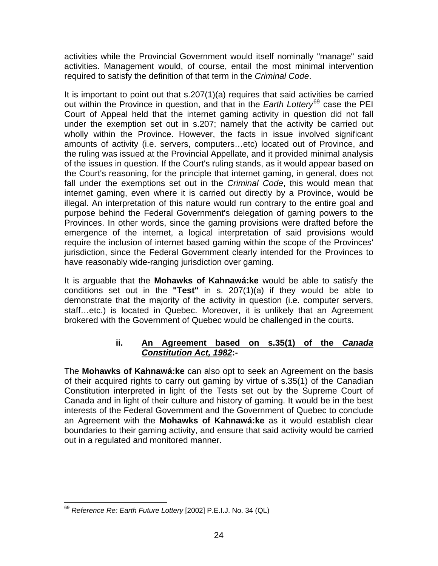activities while the Provincial Government would itself nominally "manage" said activities. Management would, of course, entail the most minimal intervention required to satisfy the definition of that term in the *Criminal Code*.

It is important to point out that s.207(1)(a) requires that said activities be carried out within the Province in question, and that in the *Earth Lottery*[69](#page-23-0) case the PEI Court of Appeal held that the internet gaming activity in question did not fall under the exemption set out in s.207; namely that the activity be carried out wholly within the Province. However, the facts in issue involved significant amounts of activity (i.e. servers, computers…etc) located out of Province, and the ruling was issued at the Provincial Appellate, and it provided minimal analysis of the issues in question. If the Court's ruling stands, as it would appear based on the Court's reasoning, for the principle that internet gaming, in general, does not fall under the exemptions set out in the *Criminal Code*, this would mean that internet gaming, even where it is carried out directly by a Province, would be illegal. An interpretation of this nature would run contrary to the entire goal and purpose behind the Federal Government's delegation of gaming powers to the Provinces. In other words, since the gaming provisions were drafted before the emergence of the internet, a logical interpretation of said provisions would require the inclusion of internet based gaming within the scope of the Provinces' jurisdiction, since the Federal Government clearly intended for the Provinces to have reasonably wide-ranging jurisdiction over gaming.

It is arguable that the **Mohawks of Kahnawá:ke** would be able to satisfy the conditions set out in the **"Test"** in s. 207(1)(a) if they would be able to demonstrate that the majority of the activity in question (i.e. computer servers, staff…etc.) is located in Quebec. Moreover, it is unlikely that an Agreement brokered with the Government of Quebec would be challenged in the courts.

#### **ii. An Agreement based on s.35(1) of the** *Canada Constitution Act, 1982***:-**

The **Mohawks of Kahnawá:ke** can also opt to seek an Agreement on the basis of their acquired rights to carry out gaming by virtue of s.35(1) of the Canadian Constitution interpreted in light of the Tests set out by the Supreme Court of Canada and in light of their culture and history of gaming. It would be in the best interests of the Federal Government and the Government of Quebec to conclude an Agreement with the **Mohawks of Kahnawá:ke** as it would establish clear boundaries to their gaming activity, and ensure that said activity would be carried out in a regulated and monitored manner.

<span id="page-23-0"></span> $\overline{a}$ <sup>69</sup> *Reference Re: Earth Future Lottery* [2002] P.E.I.J. No. 34 (QL)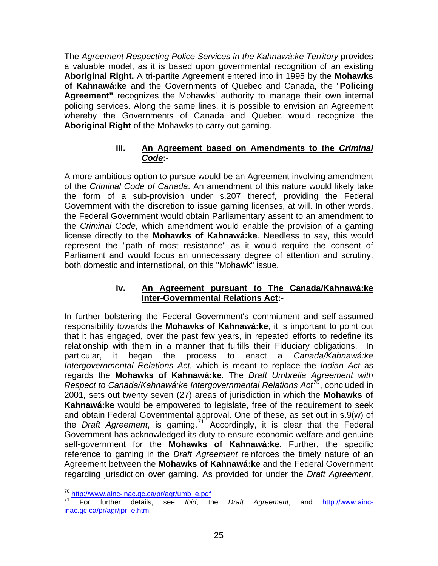The *Agreement Respecting Police Services in the Kahnawá:ke Territory* provides a valuable model, as it is based upon governmental recognition of an existing **Aboriginal Right.** A tri-partite Agreement entered into in 1995 by the **Mohawks of Kahnawá:ke** and the Governments of Quebec and Canada, the "**Policing Agreement"** recognizes the Mohawks' authority to manage their own internal policing services. Along the same lines, it is possible to envision an Agreement whereby the Governments of Canada and Quebec would recognize the **Aboriginal Right** of the Mohawks to carry out gaming.

#### **iii. An Agreement based on Amendments to the** *Criminal Code***:-**

A more ambitious option to pursue would be an Agreement involving amendment of the *Criminal Code of Canada*. An amendment of this nature would likely take the form of a sub-provision under s.207 thereof, providing the Federal Government with the discretion to issue gaming licenses, at will. In other words, the Federal Government would obtain Parliamentary assent to an amendment to the *Criminal Code*, which amendment would enable the provision of a gaming license directly to the **Mohawks of Kahnawá:ke**. Needless to say, this would represent the "path of most resistance" as it would require the consent of Parliament and would focus an unnecessary degree of attention and scrutiny, both domestic and international, on this "Mohawk" issue.

#### **iv. An Agreement pursuant to The Canada/Kahnawá:ke Inter-Governmental Relations Act:-**

In further bolstering the Federal Government's commitment and self-assumed responsibility towards the **Mohawks of Kahnawá:ke**, it is important to point out that it has engaged, over the past few years, in repeated efforts to redefine its relationship with them in a manner that fulfills their Fiduciary obligations. In particular, it began the process to enact a *Canada/Kahnawá:ke Intergovernmental Relations Act,* which is meant to replace the *Indian Act* as regards the **Mohawks of Kahnawá:ke**. The *Draft Umbrella Agreement with Respect to Canada/Kahnawá:ke Intergovernmental Relations Act[70](#page-24-0)*, concluded in 2001, sets out twenty seven (27) areas of jurisdiction in which the **Mohawks of Kahnawá:ke** would be empowered to legislate, free of the requirement to seek and obtain Federal Governmental approval. One of these, as set out in s.9(w) of the *Draft Agreement*, is gaming.[71](#page-24-1) Accordingly, it is clear that the Federal Government has acknowledged its duty to ensure economic welfare and genuine self-government for the **Mohawks of Kahnawá:ke**. Further, the specific reference to gaming in the *Draft Agreement* reinforces the timely nature of an Agreement between the **Mohawks of Kahnawá:ke** and the Federal Government regarding jurisdiction over gaming. As provided for under the *Draft Agreement*,

 $\overline{a}$ 

<span id="page-24-1"></span><span id="page-24-0"></span><sup>&</sup>lt;sup>70</sup> [http://www.ainc-inac.gc.ca/pr/agr/umb\\_e.pdf](http://www.ainc-inac.gc.ca/pr/agr/umb_e.pdf)<br><sup>71</sup> For further details, see *Ibid*, the *Draft Agreement*; and [http://www.ainc](http://www.ainc-inac.gc.ca/pr/agr/jpr_e.html)[inac.gc.ca/pr/agr/jpr\\_e.html](http://www.ainc-inac.gc.ca/pr/agr/jpr_e.html)